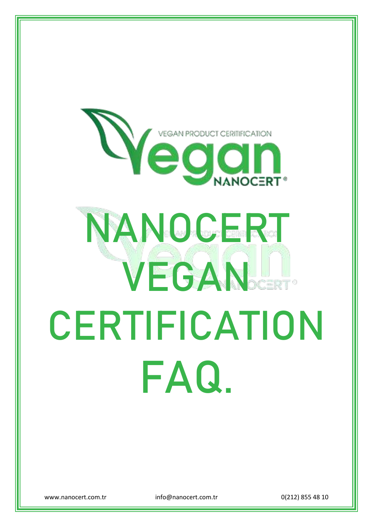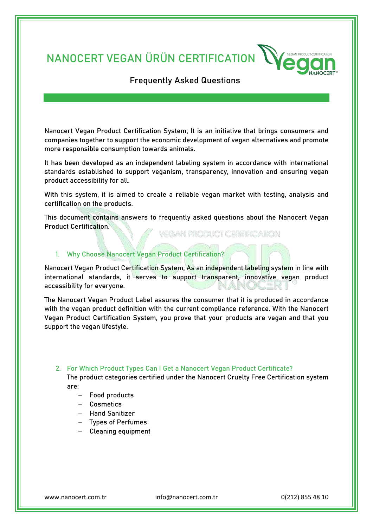**NANOCERT VEGAN ÜRÜN CERTIFICATION**



# Frequently Asked Questions

Nanocert Vegan Product Certification System; It is an initiative that brings consumers and companies together to support the economic development of vegan alternatives and promote more responsible consumption towards animals.

It has been developed as an independent labeling system in accordance with international standards established to support veganism, transparency, innovation and ensuring vegan product accessibility for all.

With this system, it is aimed to create a reliable vegan market with testing, analysis and certification on the products.

This document contains answers to frequently asked questions about the Nanocert Vegan Product Certification.

VEGAN PRODUCT CERTIFICATON

# **1. Why Choose Nanocert Vegan Product Certification?**

Nanocert Vegan Product Certification System; As an independent labeling system in line with international standards, it serves to support transparent, innovative vegan product accessibility for everyone.

The Nanocert Vegan Product Label assures the consumer that it is produced in accordance with the vegan product definition with the current compliance reference. With the Nanocert Vegan Product Certification System, you prove that your products are vegan and that you support the vegan lifestyle.

# **2. For Which Product Types Can I Get a Nanocert Vegan Product Certificate?**

The product categories certified under the Nanocert Cruelty Free Certification system are:

- − Food products
- − Cosmetics
- − Hand Sanitizer
- − Types of Perfumes
- − Cleaning equipment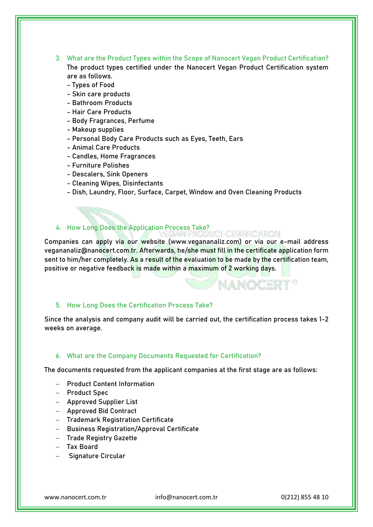**3. What are the Product Types within the Scope of Nanocert Vegan Product Certification?** The product types certified under the Nanocert Vegan Product Certification system

are as follows.

- Types of Food
- Skin care products - Bathroom Products
- Hair Care Products
- 
- Body Fragrances, Perfume
- Makeup supplies
- Personal Body Care Products such as Eyes, Teeth, Ears
- Animal Care Products
- Candles, Home Fragrances
- Furniture Polishes
- Descalers, Sink Openers
- Cleaning Wipes, Disinfectants
- Dish, Laundry, Floor, Surface, Carpet, Window and Oven Cleaning Products

# **4. How Long Does the Application Process Take?**

Companies can apply via our website (www.vegananaliz.com) or via our e-mail address vegananaliz@nanocert.com.tr. Afterwards, he/she must fill in the certificate application form sent to him/her completely. As a result of the evaluation to be made by the certification team, positive or negative feedback is made within a maximum of 2 working days.

MUSIKA TXIRTA

**NANOCERT®** 

# **5. How Long Does the Certification Process Take?**

Since the analysis and company audit will be carried out, the certification process takes 1-2 weeks on average.

### **6. What are the Company Documents Requested for Certification?**

The documents requested from the applicant companies at the first stage are as follows:

- − Product Content Information
- − Product Spec
- − Approved Supplier List
- − Approved Bid Contract
- − Trademark Registration Certificate
- − Business Registration/Approval Certificate
- − Trade Registry Gazette
- − Tax Board
- − Signature Circular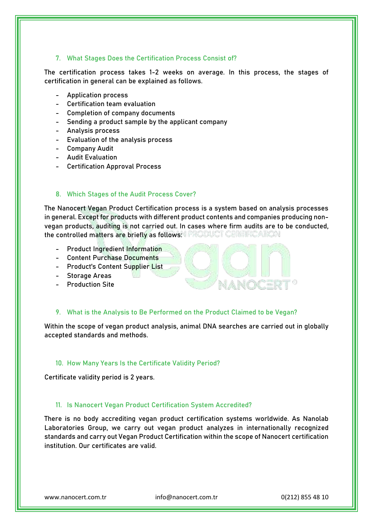# **7. What Stages Does the Certification Process Consist of?**

The certification process takes 1-2 weeks on average. In this process, the stages of certification in general can be explained as follows.

- Application process
- Certification team evaluation
- Completion of company documents
- Sending a product sample by the applicant company
- Analysis process
- Evaluation of the analysis process
- Company Audit
- Audit Evaluation
- Certification Approval Process

# **8. Which Stages of the Audit Process Cover?**

The Nanocert Vegan Product Certification process is a system based on analysis processes in general. Except for products with different product contents and companies producing nonvegan products, auditing is not carried out. In cases where firm audits are to be conducted, the controlled matters are briefly as follows: FRODUCH CHRISTAIR

- Product Ingredient Information
- Content Purchase Documents
- Product's Content Supplier List
- Storage Areas
- Production Site

# **9. What is the Analysis to Be Performed on the Product Claimed to be Vegan?**

Within the scope of vegan product analysis, animal DNA searches are carried out in globally accepted standards and methods.

NANOCERT®

#### **10. How Many Years Is the Certificate Validity Period?**

Certificate validity period is 2 years.

# **11. Is Nanocert Vegan Product Certification System Accredited?**

There is no body accrediting vegan product certification systems worldwide. As Nanolab Laboratories Group, we carry out vegan product analyzes in internationally recognized standards and carry out Vegan Product Certification within the scope of Nanocert certification institution. Our certificates are valid.